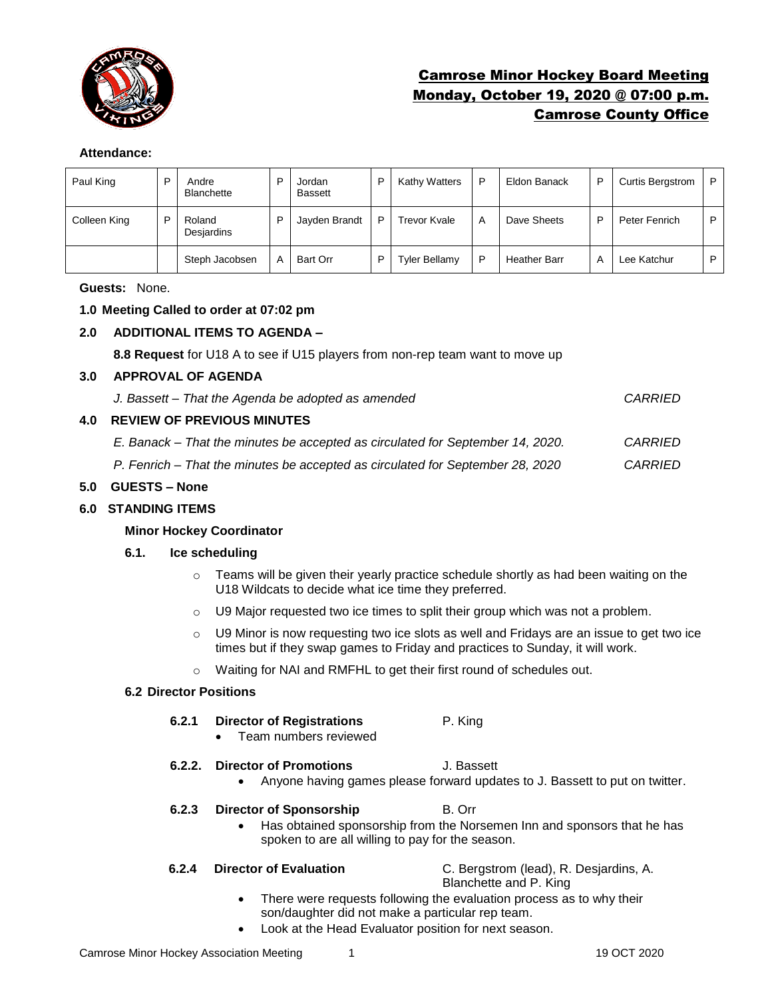

# Camrose Minor Hockey Board Meeting Monday, October 19, 2020 @ 07:00 p.m. Camrose County Office

# **Attendance:**

| Paul King    | D | Andre<br><b>Blanchette</b> | D | Jordan<br><b>Bassett</b> | D | Kathy Watters        | P | Eldon Banack        | P | <b>Curtis Bergstrom</b> | P |
|--------------|---|----------------------------|---|--------------------------|---|----------------------|---|---------------------|---|-------------------------|---|
| Colleen King | D | Roland<br>Desjardins       | P | Jayden Brandt            | D | <b>Trevor Kvale</b>  | A | Dave Sheets         | ▫ | Peter Fenrich           | P |
|              |   | Steph Jacobsen             | A | Bart Orr                 | D | <b>Tyler Bellamy</b> | D | <b>Heather Barr</b> | А | Lee Katchur             | D |

**Guests:** None.

# **1.0 Meeting Called to order at 07:02 pm**

# **2.0 ADDITIONAL ITEMS TO AGENDA –**

**8.8 Request** for U18 A to see if U15 players from non-rep team want to move up

#### **3.0 APPROVAL OF AGENDA**

|     | J. Bassett - That the Agenda be adopted as amended                             | CARRIED |
|-----|--------------------------------------------------------------------------------|---------|
| 4.0 | <b>REVIEW OF PREVIOUS MINUTES</b>                                              |         |
|     | E. Banack – That the minutes be accepted as circulated for September 14, 2020. | CARRIED |
|     | P. Fenrich – That the minutes be accepted as circulated for September 28, 2020 | CARRIED |

### **5.0 GUESTS – None**

### **6.0 STANDING ITEMS**

### **Minor Hockey Coordinator**

#### **6.1. Ice scheduling**

- $\circ$  Teams will be given their yearly practice schedule shortly as had been waiting on the U18 Wildcats to decide what ice time they preferred.
- $\circ$  U9 Major requested two ice times to split their group which was not a problem.
- $\circ$  U9 Minor is now requesting two ice slots as well and Fridays are an issue to get two ice times but if they swap games to Friday and practices to Sunday, it will work.
- o Waiting for NAI and RMFHL to get their first round of schedules out.

#### **6.2 Director Positions**

# **6.2.1 Director of Registrations** P. King

• Team numbers reviewed

## **6.2.2. Director of Promotions** J. Bassett

• Anyone having games please forward updates to J. Bassett to put on twitter.

#### **6.2.3 Director of Sponsorship B. Orr**

• Has obtained sponsorship from the Norsemen Inn and sponsors that he has spoken to are all willing to pay for the season.

**6.2.4 Director of Evaluation** C. Bergstrom (lead), R. Desjardins, A.

Blanchette and P. King

- There were requests following the evaluation process as to why their son/daughter did not make a particular rep team.
- Look at the Head Evaluator position for next season.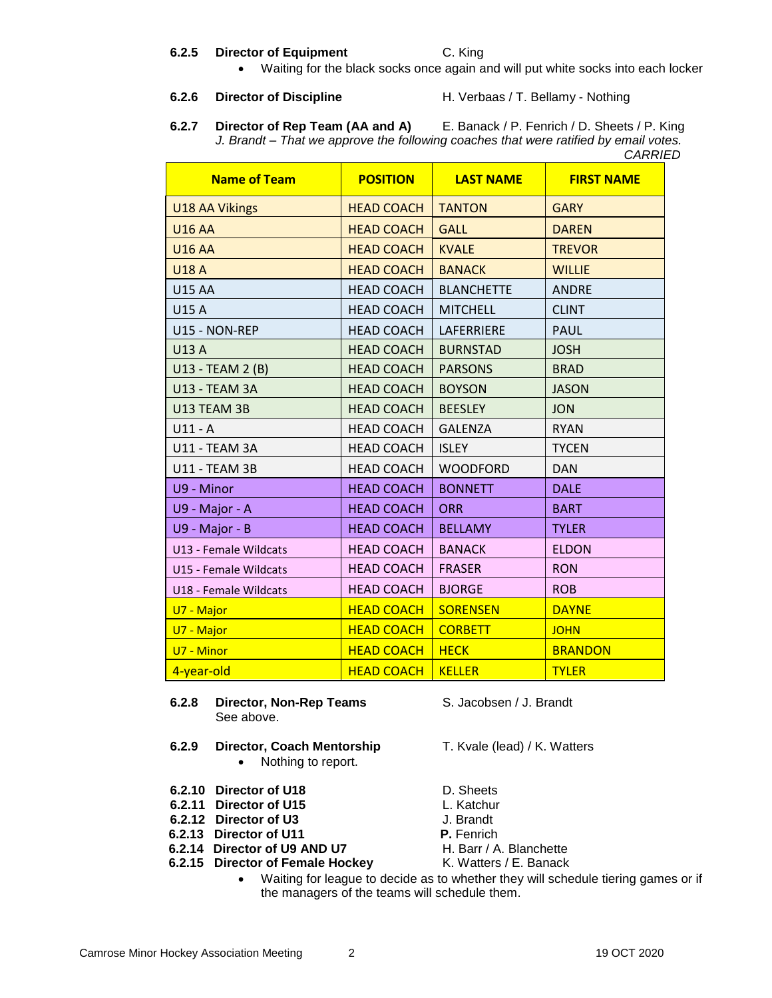#### **6.2.5 Director of Equipment** C. King

• Waiting for the black socks once again and will put white socks into each locker

- **6.2.6 Director of Discipline** H. Verbaas / T. Bellamy Nothing
- **6.2.7 Director of Rep Team (AA and A)** E. Banack / P. Fenrich / D. Sheets / P. King *J. Brandt – That we approve the following coaches that were ratified by email votes. CARRIED*

| <b>Name of Team</b>   | <b>POSITION</b>   | <b>LAST NAME</b>  | <b>FIRST NAME</b> |
|-----------------------|-------------------|-------------------|-------------------|
| <b>U18 AA Vikings</b> | <b>HEAD COACH</b> | <b>TANTON</b>     | <b>GARY</b>       |
| <b>U16 AA</b>         | <b>HEAD COACH</b> | <b>GALL</b>       | <b>DAREN</b>      |
| <b>U16 AA</b>         | <b>HEAD COACH</b> | <b>KVALE</b>      | <b>TREVOR</b>     |
| <b>U18 A</b>          | <b>HEAD COACH</b> | <b>BANACK</b>     | <b>WILLIE</b>     |
| <b>U15 AA</b>         | <b>HEAD COACH</b> | <b>BLANCHETTE</b> | <b>ANDRE</b>      |
| U15 A                 | <b>HEAD COACH</b> | <b>MITCHELL</b>   | <b>CLINT</b>      |
| U15 - NON-REP         | <b>HEAD COACH</b> | LAFERRIERE        | <b>PAUL</b>       |
| <b>U13 A</b>          | <b>HEAD COACH</b> | <b>BURNSTAD</b>   | <b>JOSH</b>       |
| U13 - TEAM 2 (B)      | <b>HEAD COACH</b> | <b>PARSONS</b>    | <b>BRAD</b>       |
| <b>U13 - TEAM 3A</b>  | <b>HEAD COACH</b> | <b>BOYSON</b>     | <b>JASON</b>      |
| U13 TEAM 3B           | <b>HEAD COACH</b> | <b>BEESLEY</b>    | <b>JON</b>        |
| $U11 - A$             | <b>HEAD COACH</b> | <b>GALENZA</b>    | <b>RYAN</b>       |
| U11 - TEAM 3A         | <b>HEAD COACH</b> | <b>ISLEY</b>      | <b>TYCEN</b>      |
| <b>U11 - TEAM 3B</b>  | <b>HEAD COACH</b> | <b>WOODFORD</b>   | <b>DAN</b>        |
| U9 - Minor            | <b>HEAD COACH</b> | <b>BONNETT</b>    | <b>DALE</b>       |
| U9 - Major - A        | <b>HEAD COACH</b> | <b>ORR</b>        | <b>BART</b>       |
| U9 - Major - B        | <b>HEAD COACH</b> | <b>BELLAMY</b>    | <b>TYLER</b>      |
| U13 - Female Wildcats | <b>HEAD COACH</b> | <b>BANACK</b>     | <b>ELDON</b>      |
| U15 - Female Wildcats | <b>HEAD COACH</b> | <b>FRASER</b>     | <b>RON</b>        |
| U18 - Female Wildcats | <b>HEAD COACH</b> | <b>BJORGE</b>     | <b>ROB</b>        |
| U7 - Major            | <b>HEAD COACH</b> | <b>SORENSEN</b>   | <b>DAYNE</b>      |
| U7 - Major            | <b>HEAD COACH</b> | <b>CORBETT</b>    | <b>JOHN</b>       |
| U7 - Minor            | <b>HEAD COACH</b> | <b>HECK</b>       | <b>BRANDON</b>    |
| 4-year-old            | <b>HEAD COACH</b> | <b>KELLER</b>     | <b>TYLER</b>      |

- **6.2.8 Director, Non-Rep Teams** S. Jacobsen / J. Brandt See above.
- **6.2.9 Director, Coach Mentorship** T. Kvale (lead) / K. Watters • Nothing to report.
- **6.2.10 Director of U18** D. Sheets
- 
- **6.2.11 Director of U15** L. Katchur<br> **6.2.12 Director of U3** J. Brandt **6.2.12 Director of U3**
- **6.2.13 Director of U11 P.** Fenrich
- **6.2.14 Director of U9 AND U7** H. Barr / A. Blanchette
- **6.2.15 Director of Female Hockey K. Watters / E. Banack**

- 
- 
- 
- -
- 
- Waiting for league to decide as to whether they will schedule tiering games or if the managers of the teams will schedule them.